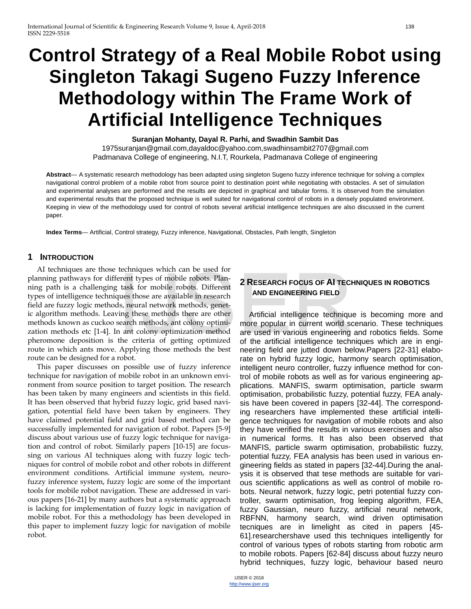# **Control Strategy of a Real Mobile Robot using Singleton Takagi Sugeno Fuzzy Inference Methodology within The Frame Work of Artificial Intelligence Techniques**

**Suranjan Mohanty, Dayal R. Parhi, and Swadhin Sambit Das** 

1975suranjan@gmail.com,dayaldoc@yahoo.com,swadhinsambit2707@gmail.com Padmanava College of engineering, N.I.T, Rourkela, Padmanava College of engineering

**Abstract**— A systematic research methodology has been adapted using singleton Sugeno fuzzy inference technique for solving a complex navigational control problem of a mobile robot from source point to destination point while negotiating with obstacles. A set of simulation and experimental analyses are performed and the results are depicted in graphical and tabular forms. It is observed from the simulation and experimental results that the proposed technique is well suited for navigational control of robots in a densely populated environment. Keeping in view of the methodology used for control of robots several artificial intelligence techniques are also discussed in the current paper.

**Index Terms**— Artificial, Control strategy, Fuzzy inference, Navigational, Obstacles, Path length, Singleton

#### **1 INTRODUCTION**

AI techniques are those techniques which can be used for planning pathways for different types of mobile robots. Planning path is a challenging task for mobile robots. Different types of intelligence techniques those are available in research field are fuzzy logic methods, neural network methods, genetic algorithm methods. Leaving these methods there are other methods known as cuckoo search methods, ant colony optimization methods etc [1-4]. In ant colony optimization method pheromone deposition is the criteria of getting optimized route in which ants move. Applying those methods the best route can be designed for a robot. The transfer types of mobile robots. Plan-<br>task for mobile robots. Plan-<br>task for mobile robots. Different<br>types are available in research<br>s, neural network methods, genet-<br>ing these methods there are other<br>earch methods,

This paper discusses on possible use of fuzzy inference technique for navigation of mobile robot in an unknown environment from source position to target position. The research has been taken by many engineers and scientists in this field. It has been observed that hybrid fuzzy logic, grid based navigation, potential field have been taken by engineers. They have claimed potential field and grid based method can be successfully implemented for navigation of robot. Papers [5-9] discuss about various use of fuzzy logic technique for navigation and control of robot. Similarly papers [10-15] are focussing on various AI techniques along with fuzzy logic techniques for control of mobile robot and other robots in different environment conditions. Artificial immune system, neurofuzzy inference system, fuzzy logic are some of the important tools for mobile robot navigation. These are addressed in various papers [16-21] by many authors but a systematic approach is lacking for implementation of fuzzy logic in navigation of mobile robot. For this a methodology has been developed in this paper to implement fuzzy logic for navigation of mobile robot.

## **2 RESEARCH FOCUS OF AI TECHNIQUES IN ROBOTICS AND ENGINEERING FIELD**

Artificial intelligence technique is becoming more and more popular in current world scenario. These techniques are used in various engineering and robotics fields. Some of the artificial intelligence techniques which are in engineering field are jutted down below.Papers [22-31] elaborate on hybrid fuzzy logic, harmony search optimisation, intelligent neuro controller, fuzzy influence method for control of mobile robots as well as for various engineering applications. MANFIS, swarm optimisation, particle swarm optimisation, probabilistic fuzzy, potential fuzzy, FEA analysis have been covered in papers [32-44]. The corresponding researchers have implemented these artificial intelligence techniques for navigation of mobile robots and also they have verified the results in various exercises and also in numerical forms. It has also been observed that MANFIS, particle swarm optimisation, probabilistic fuzzy, potential fuzzy, FEA analysis has been used in various engineering fields as stated in papers [32-44].During the analysis it is observed that tese methods are suitable for various scientific applications as well as control of mobile robots. Neural network, fuzzy logic, petri potential fuzzy controller, swarm optimisation, frog leeping algorithm, FEA, fuzzy Gaussian, neuro fuzzy, artificial neural network, RBFNN, harmony search, wind driven optimisation tecniques are in limelight as cited in papers [45- 61].researchershave used this techniques intelligently for control of various types of robots starting from robotic arm to mobile robots. Papers [62-84] discuss about fuzzy neuro hybrid techniques, fuzzy logic, behaviour based neuro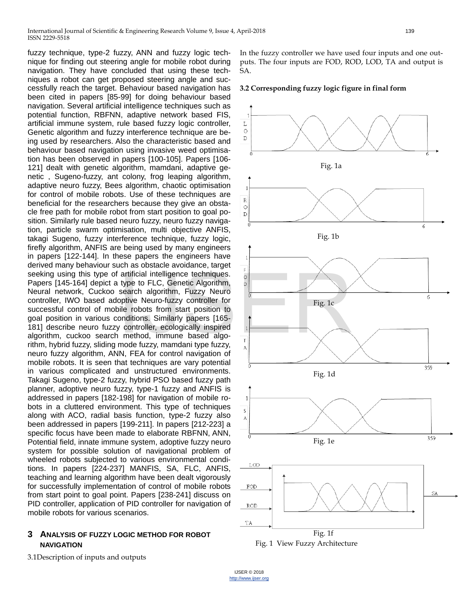International Journal of Scientific & Engineering Research Volume 9, Issue 4, April-2018 139 ISSN 2229-5518

fuzzy technique, type-2 fuzzy, ANN and fuzzy logic technique for finding out steering angle for mobile robot during navigation. They have concluded that using these techniques a robot can get proposed steering angle and successfully reach the target. Behaviour based navigation has been cited in papers [85-99] for doing behaviour based navigation. Several artificial intelligence techniques such as potential function, RBFNN, adaptive network based FIS, artificial immune system, rule based fuzzy logic controller, Genetic algorithm and fuzzy interference technique are being used by researchers. Also the characteristic based and behaviour based navigation using invasive weed optimisation has been observed in papers [100-105]. Papers [106- 121] dealt with genetic algorithm, mamdani, adaptive genetic , Sugeno-fuzzy, ant colony, frog leaping algorithm, adaptive neuro fuzzy, Bees algorithm, chaotic optimisation for control of mobile robots. Use of these techniques are beneficial for the researchers because they give an obstacle free path for mobile robot from start position to goal position. Similarly rule based neuro fuzzy, neuro fuzzy navigation, particle swarm optimisation, multi objective ANFIS, takagi Sugeno, fuzzy interference technique, fuzzy logic, firefly algorithm, ANFIS are being used by many engineers in papers [122-144]. In these papers the engineers have derived many behaviour such as obstacle avoidance, target seeking using this type of artificial intelligence techniques. Papers [145-164] depict a type to FLC, Genetic Algorithm, Neural network, Cuckoo search algorithm, Fuzzy Neuro controller, IWO based adoptive Neuro-fuzzy controller for successful control of mobile robots from start position to goal position in various conditions. Similarly papers [165- 181] describe neuro fuzzy controller, ecologically inspired algorithm, cuckoo search method, immune based algorithm, hybrid fuzzy, sliding mode fuzzy, mamdani type fuzzy, neuro fuzzy algorithm, ANN, FEA for control navigation of mobile robots. It is seen that techniques are vary potential in various complicated and unstructured environments. Takagi Sugeno, type-2 fuzzy, hybrid PSO based fuzzy path planner, adoptive neuro fuzzy, type-1 fuzzy and ANFIS is addressed in papers [182-198] for navigation of mobile robots in a cluttered environment. This type of techniques along with ACO, radial basis function, type-2 fuzzy also been addressed in papers [199-211]. In papers [212-223] a specific focus have been made to elaborate RBFNN, ANN, Potential field, innate immune system, adoptive fuzzy neuro system for possible solution of navigational problem of wheeled robots subjected to various environmental conditions. In papers [224-237] MANFIS, SA, FLC, ANFIS, teaching and learning algorithm have been dealt vigorously for successfully implementation of control of mobile robots from start point to goal point. Papers [238-241] discuss on PID controller, application of PID controller for navigation of mobile robots for various scenarios. artificial intelligence techniques.<br>
type to FLC, Genetic Algorithm,<br>
search algorithm, Fuzzy Neuro<br>
optive Neuro-fuzzy controller for<br>
ille robots from start position to<br>
onditions. Similarly papers [165-<br>
y controller, e

## **3 ANALYSIS OF FUZZY LOGIC METHOD FOR ROBOT NAVIGATION**

3.1Description of inputs and outputs

In the fuzzy controller we have used four inputs and one outputs. The four inputs are FOD, ROD, LOD, TA and output is SA.

**3.2 Corresponding fuzzy logic figure in final form**



Fig. 1 View Fuzzy Architecture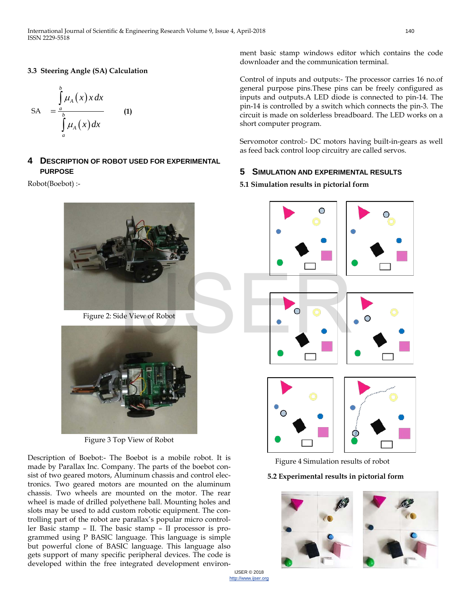#### **3.3 Steering Angle (SA) Calculation**

SA 
$$
= \int_{a}^{b} \mu_{A}(x) x dx
$$
  
\nSA 
$$
\int_{a}^{b} \mu_{A}(x) dx
$$
 (1)

## **4 DESCRIPTION OF ROBOT USED FOR EXPERIMENTAL PURPOSE**

Robot(Boebot) :-



Figure 2: Side View of Robot



Figure 3 Top View of Robot

Description of Boebot:- The Boebot is a mobile robot. It is made by Parallax Inc. Company. The parts of the boebot consist of two geared motors, Aluminum chassis and control electronics. Two geared motors are mounted on the aluminum chassis. Two wheels are mounted on the motor. The rear wheel is made of drilled polyethene ball. Mounting holes and slots may be used to add custom robotic equipment. The controlling part of the robot are parallax's popular micro controller Basic stamp – II. The basic stamp – II processor is programmed using P BASIC language. This language is simple but powerful clone of BASIC language. This language also gets support of many specific peripheral devices. The code is developed within the free integrated development environ-

ment basic stamp windows editor which contains the code downloader and the communication terminal.

Control of inputs and outputs:- The processor carries 16 no.of general purpose pins.These pins can be freely configured as inputs and outputs.A LED diode is connected to pin-14. The pin-14 is controlled by a switch which connects the pin-3. The circuit is made on solderless breadboard. The LED works on a short computer program.

Servomotor control:- DC motors having built-in-gears as well as feed back control loop circuitry are called servos.

## **5 SIMULATION AND EXPERIMENTAL RESULTS**

## **5.1 Simulation results in pictorial form**



Figure 4 Simulation results of robot

## **5.2 Experimental results in pictorial form**



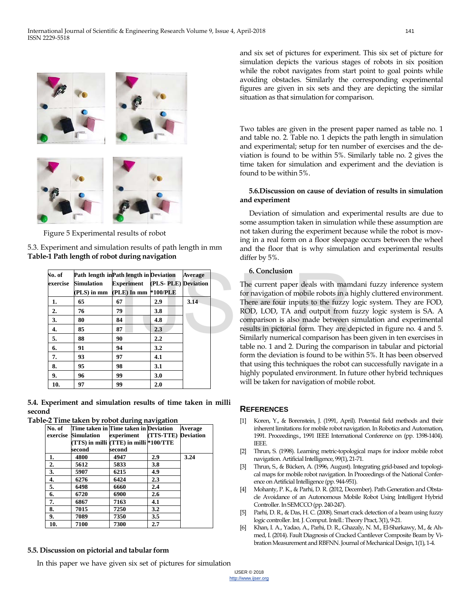

Figure 5 Experimental results of robot

| 5.3. Experiment and simulation results of path length in mm |  |
|-------------------------------------------------------------|--|
| Table-1 Path length of robot during navigation              |  |

| No. of   |                   | Path length in Path length in Deviation |                  | <b>Average</b> | 6. Conclusion                          |
|----------|-------------------|-----------------------------------------|------------------|----------------|----------------------------------------|
| exercise | <b>Simulation</b> | <b>Experiment</b> (PLS-PLE) Deviation   |                  |                | The current paper deals with mam       |
|          |                   | (PLS) in mm (PLE) In mm *100/PLE        |                  |                | for navigation of mobile robots in a h |
|          | 65                | 67                                      | 2.9              | 3.14           | There are four inputs to the fuzzy     |
| 2.       | 76                | 79                                      | 3.8              |                | ROD, LOD, TA and output from 1         |
| 3.       | 80                | 84                                      | 4.8              |                | comparison is also made between a      |
| 4.       | 85                | 87                                      | 2.3              |                | results in pictorial form. They are do |
| 5.       | 88                | 90                                      | $2.2\phantom{0}$ |                | Similarly numerical comparison has     |
| 6.       | 91                | 94                                      | 3.2              |                | table no. 1 and 2. During the compa    |
| 7.       | 93                | 97                                      | 4.1              |                | form the deviation is found to be wi   |
| 8.       | 95                | 98                                      | 3.1              |                | that using this techniques the robot   |
| 9.       | 96                | 99                                      | 3.0              |                | highly populated environment. In fu    |
| 10.      | 97                | 99                                      | 2.0              |                | will be taken for navigation of mobil  |

**5.4. Experiment and simulation results of time taken in milli second**

**Table-2 Time taken by robot during navigation**

| No. of | Time taken in Time taken in Deviation | $\sigma$                               | $\sigma$            | Average |
|--------|---------------------------------------|----------------------------------------|---------------------|---------|
|        | exercise Simulation                   | experiment                             | (TTS-TTE) Deviation |         |
|        |                                       | (TTS) in milli (TTE) in milli *100/TTE |                     |         |
|        | second                                | second                                 |                     |         |
| 1.     | 4800                                  | 4947                                   | 2.9                 | 3.24    |
| 2.     | 5612                                  | 5833                                   | 3.8                 |         |
| 3.     | 5907                                  | 6215                                   | 4.9                 |         |
| 4.     | 6276                                  | 6424                                   | 2.3                 |         |
| 5.     | 6498                                  | 6660                                   | 2.4                 |         |
| 6.     | 6720                                  | 6900                                   | 2.6                 |         |
| 7.     | 6867                                  | 7163                                   | 4.1                 |         |
| 8.     | 7015                                  | 7250                                   | 3.2                 |         |
| 9.     | 7089                                  | 7350                                   | 3.5                 |         |
| 10.    | 7100                                  | 7300                                   | 2.7                 |         |

# **5.5. Discussion on pictorial and tabular form**

In this paper we have given six set of pictures for simulation

and six set of pictures for experiment. This six set of picture for simulation depicts the various stages of robots in six position while the robot navigates from start point to goal points while avoiding obstacles. Similarly the corresponding experimental figures are given in six sets and they are depicting the similar situation as that simulation for comparison.

Two tables are given in the present paper named as table no. 1 and table no. 2. Table no. 1 depicts the path length in simulation and experimental; setup for ten number of exercises and the deviation is found to be within 5%. Similarly table no. 2 gives the time taken for simulation and experiment and the deviation is found to be within 5%.

#### **5.6.Discussion on cause of deviation of results in simulation and experiment**

Deviation of simulation and experimental results are due to some assumption taken in simulation while these assumption are not taken during the experiment because while the robot is moving in a real form on a floor sleepage occurs between the wheel and the floor that is why simulation and experimental results differ by 5%.

#### **6. Conclusion**

The current paper deals with mamdani fuzzy inference system for navigation of mobile robots in a highly cluttered environment. There are four inputs to the fuzzy logic system. They are FOD, ROD, LOD, TA and output from fuzzy logic system is SA. A comparison is also made between simulation and experimental results in pictorial form. They are depicted in figure no. 4 and 5. Similarly numerical comparison has been given in ten exercises in table no. 1 and 2. During the comparison in tabular and pictorial form the deviation is found to be within 5%. It has been observed that using this techniques the robot can successfully navigate in a highly populated environment. In future other hybrid techniques will be taken for navigation of mobile robot.

## **REFERENCES**

- [1] Koren, Y., & Borenstein, J. (1991, April). Potential field methods and their inherent limitations for mobile robot navigation. In Robotics and Automation, 1991. Proceedings., 1991 IEEE International Conference on (pp. 1398-1404). IEEE.
- [2] Thrun, S. (1998). Learning metric-topological maps for indoor mobile robot navigation. Artificial Intelligence, 99(1), 21-71.
- [3] Thrun, S., & Bücken, A. (1996, August). Integrating grid-based and topological maps for mobile robot navigation. In Proceedings of the National Conference on Artificial Intelligence (pp. 944-951).
- [4] Mohanty, P. K., & Parhi, D. R. (2012, December). Path Generation and Obstacle Avoidance of an Autonomous Mobile Robot Using Intelligent Hybrid Controller. In SEMCCO (pp. 240-247).
- [5] Parhi, D. R., & Das, H. C. (2008). Smart crack detection of a beam using fuzzy logic controller. Int. J. Comput. Intell.: Theory Pract, 3(1), 9-21.
- [6] Khan, I. A., Yadao, A., Parhi, D. R., Ghazaly, N. M., El-Sharkawy, M., & Ahmed, I. (2014). Fault Diagnosis of Cracked Cantilever Composite Beam by Vibration Measurement and RBFNN. Journal of Mechanical Design, 1(1), 1-4.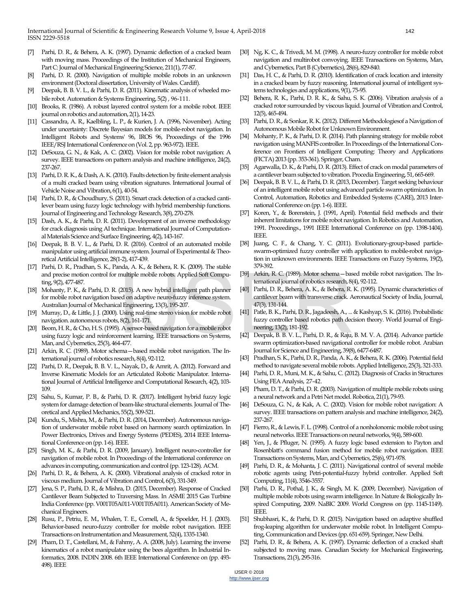- [7] Parhi, D. R., & Behera, A. K. (1997). Dynamic deflection of a cracked beam with moving mass. Proceedings of the Institution of Mechanical Engineers, Part C: Journal of Mechanical Engineering Science, 211(1), 77-87.
- [8] Parhi, D. R. (2000). Navigation of multiple mobile robots in an unknown environment (Doctoral dissertation, University of Wales. Cardiff).
- [9] Deepak, B. B. V. L., & Parhi, D. R. (2011). Kinematic analysis of wheeled mobile robot. Automation & Systems Engineering, 5(2) , 96-111.
- [10] Brooks, R. (1986). A robust layered control system for a mobile robot. IEEE journal on robotics and automation, 2(1), 14-23.
- [11] Cassandra, A. R., Kaelbling, L. P., & Kurien, J. A. (1996, November). Acting under uncertainty: Discrete Bayesian models for mobile-robot navigation. In Intelligent Robots and Systems' 96, IROS 96, Proceedings of the 1996 IEEE/RSJ International Conference on (Vol. 2, pp. 963-972). IEEE.
- [12] DeSouza, G. N., & Kak, A. C. (2002). Vision for mobile robot navigation: A survey. IEEE transactions on pattern analysis and machine intelligence, 24(2), 237-267.
- [13] Parhi, D. R. K., & Dash, A. K. (2010). Faults detection by finite element analysis of a multi cracked beam using vibration signatures. International Journal of Vehicle Noise and Vibration, 6(1), 40-54.
- [14] Parhi, D. R., & Choudhury, S. (2011). Smart crack detection of a cracked cantilever beam using fuzzy logic technology with hybrid membership functions. Journal of Engineering and Technology Research, 3(8), 270-278.
- [15] Dash, A. K., & Parhi, D. R. (2011). Development of an inverse methodology for crack diagnosis using AI technique. International Journal of Computational Materials Science and Surface Engineering, 4(2), 143-167.
- [16] Deepak, B. B. V. L., & Parhi, D. R. (2016). Control of an automated mobile manipulator using artificial immune system. Journal of Experimental & Theoretical Artificial Intelligence, 28(1-2), 417-439.
- [17] Parhi, D. R., Pradhan, S. K., Panda, A. K., & Behera, R. K. (2009). The stable and precise motion control for multiple mobile robots. Applied Soft Computing, 9(2), 477-487.
- [18] Mohanty, P. K., & Parhi, D. R. (2015). A new hybrid intelligent path planner for mobile robot navigation based on adaptive neuro-fuzzy inference system. Australian Journal of Mechanical Engineering, 13(3), 195-207.
- [19] Murray, D., & Little, J. J. (2000). Using real-time stereo vision for mobile robot navigation. autonomous robots, 8(2), 161-171.
- [20] Beom, H. R., & Cho, H. S. (1995). A sensor-based navigation for a mobile robot using fuzzy logic and reinforcement learning. IEEE transactions on Systems, Man, and Cybernetics, 25(3), 464-477.
- [21] Arkin, R. C. (1989). Motor schema—based mobile robot navigation. The International journal of robotics research, 8(4), 92-112.
- [22] Parhi, D. R., Deepak, B. B. V. L., Nayak, D., & Amrit, A. (2012). Forward and Inverse Kinematic Models for an Articulated Robotic Manipulator. International Journal of Artificial Intelligence and Computational Research, 4(2), 103- 109.
- [23] Sahu, S., Kumar, P. B., & Parhi, D. R. (2017). Intelligent hybrid fuzzy logic system for damage detection of beam-like structural elements. Journal of Theoretical and Applied Mechanics, 55(2), 509-521.
- [24] Kundu, S., Mishra, M., & Parhi, D. R. (2014, December). Autonomous navigation of underwater mobile robot based on harmony search optimization. In Power Electronics, Drives and Energy Systems (PEDES), 2014 IEEE International Conference on (pp. 1-6). IEEE.
- [25] Singh, M. K., & Parhi, D. R. (2009, January). Intelligent neuro-controller for navigation of mobile robot. In Proceedings of the International conference on advances in computing, communication and control (pp. 123-128). ACM.
- [26] Parhi, D. R., & Behera, A. K. (2000). Vibrational analysis of cracked rotor in viscous medium. Journal of Vibration and Control, 6(3), 331-349.
- [27] Jena, S. P., Parhi, D. R., & Mishra, D. (2015, December). Response of Cracked Cantilever Beam Subjected to Traversing Mass. In ASME 2015 Gas Turbine India Conference (pp. V001T05A011-V001T05A011). American Society of Mechanical Engineers.
- [28] Rusu, P., Petriu, E. M., Whalen, T. E., Cornell, A., & Spoelder, H. J. (2003). Behavior-based neuro-fuzzy controller for mobile robot navigation. IEEE Transactions on Instrumentation and Measurement, 52(4), 1335-1340.
- [29] Pham, D. T., Castellani, M., & Fahmy, A. A. (2008, July). Learning the inverse kinematics of a robot manipulator using the bees algorithm. In Industrial Informatics, 2008. INDIN 2008. 6th IEEE International Conference on (pp. 493- 498). IEEE
- [30] Ng, K. C., & Trivedi, M. M. (1998). A neuro-fuzzy controller for mobile robot navigation and multirobot convoying. IEEE Transactions on Systems, Man, and Cybernetics, Part B (Cybernetics), 28(6), 829-840.
- [31] Das, H. C., & Parhi, D. R. (2010). Identification of crack location and intensity in a cracked beam by fuzzy reasoning. International journal of intelligent systems technologies and applications, 9(1), 75-95.
- [32] Behera, R. K., Parhi, D. R. K., & Sahu, S. K. (2006). Vibration analysis of a cracked rotor surrounded by viscous liquid. Journal of Vibration and Control, 12(5), 465-494.
- [33] Parhi, D. R., & Sonkar, R. K. (2012). Different Methodologiesof a Navigation of Autonomous Mobile Robot for Unknown Environment.
- [34] Mohanty, P. K., & Parhi, D. R. (2014). Path planning strategy for mobile robot navigation using MANFIS controller. In Proceedings of the International Conference on Frontiers of Intelligent Computing: Theory and Applications (FICTA) 2013 (pp. 353-361). Springer, Cham.
- [35] Agarwalla, D. K., & Parhi, D. R. (2013). Effect of crack on modal parameters of a cantilever beam subjected to vibration. Procedia Engineering, 51, 665-669.
- [36] Deepak, B. B. V. L., & Parhi, D. R. (2013, December). Target seeking behaviour of an intelligent mobile robot using advanced particle swarm optimization. In Control, Automation, Robotics and Embedded Systems (CARE), 2013 International Conference on (pp. 1-6). IEEE.
- [37] Koren, Y., & Borenstein, J. (1991, April). Potential field methods and their inherent limitations for mobile robot navigation. In Robotics and Automation, 1991. Proceedings., 1991 IEEE International Conference on (pp. 1398-1404). IEEE.
- [38] Juang, C. F., & Chang, Y. C. (2011). Evolutionary-group-based particleswarm-optimized fuzzy controller with application to mobile-robot navigation in unknown environments. IEEE Transactions on Fuzzy Systems, 19(2), 379-392.
- [39] Arkin, R. C. (1989). Motor schema—based mobile robot navigation. The International journal of robotics research, 8(4), 92-112.
- [40] Parhi, D. R., Behera, A. K., & Behera, R. K. (1995). Dynamic characteristics of cantilever beam with transverse crack. Aeronautical Society of India, Journal, 47(3), 131-144.
- [41] Patle, B. K., Parhi, D. R., Jagadeesh, A., ... & Kashyap, S. K. (2016). Probabilistic fuzzy controller based robotics path decision theory. World Journal of Engineering, 13(2), 181-192. multiple mobile robots. Applied Soft Compu-<br>
terrational journal of robotics research, 8<br>
(2015). A new hybrid intelligent path planner [40] Parhi, D. R., Behera, A. K., & Behera, R.<br>
sed on adaptive neuro-fuzzy inference
	- [42] Deepak, B. B. V. L., Parhi, D. R., & Raju, B. M. V. A. (2014). Advance particle swarm optimization-based navigational controller for mobile robot. Arabian Journal for Science and Engineering, 39(8), 6477-6487.
	- [43] Pradhan, S. K., Parhi, D. R., Panda, A. K., & Behera, R. K. (2006). Potential field method to navigate several mobile robots. Applied Intelligence, 25(3), 321-333.
	- [44] Parhi, D. R., Muni, M. K., & Sahu, C. (2012). Diagnosis of Cracks in Structures Using FEA Analysis, 27-42.
	- [45] Pham, D. T., & Parhi, D. R. (2003). Navigation of multiple mobile robots using a neural network and a Petri Net model. Robotica, 21(1), 79-93.
	- [46] DeSouza, G. N., & Kak, A. C. (2002). Vision for mobile robot navigation: A survey. IEEE transactions on pattern analysis and machine intelligence, 24(2), 237-267.
	- [47] Fierro, R., & Lewis, F. L. (1998). Control of a nonholonomic mobile robot using neural networks. IEEE Transactions on neural networks, 9(4), 589-600.
	- [48] Yen, J., & Pfluger, N. (1995). A fuzzy logic based extension to Payton and Rosenblatt's command fusion method for mobile robot navigation. IEEE Transactions on Systems, Man, and Cybernetics, 25(6), 971-978.
	- [49] Parhi, D. R., & Mohanta, J. C. (2011). Navigational control of several mobile robotic agents using Petri-potential-fuzzy hybrid controller. Applied Soft Computing, 11(4), 3546-3557.
	- Parhi, D. R., Pothal, J. K., & Singh, M. K. (2009, December). Navigation of multiple mobile robots using swarm intelligence. In Nature & Biologically Inspired Computing, 2009. NaBIC 2009. World Congress on (pp. 1145-1149). IEEE.
	- [51] Shubhasri, K., & Parhi, D. R. (2015). Navigation based on adaptive shuffled frog-leaping algorithm for underwater mobile robot. In Intelligent Computing, Communication and Devices (pp. 651-659). Springer, New Delhi.
	- [52] Parhi, D. R., & Behera, A. K. (1997). Dynamic deflection of a cracked shaft subjected to moving mass. Canadian Society for Mechanical Engineering, Transactions, 21(3), 295-316.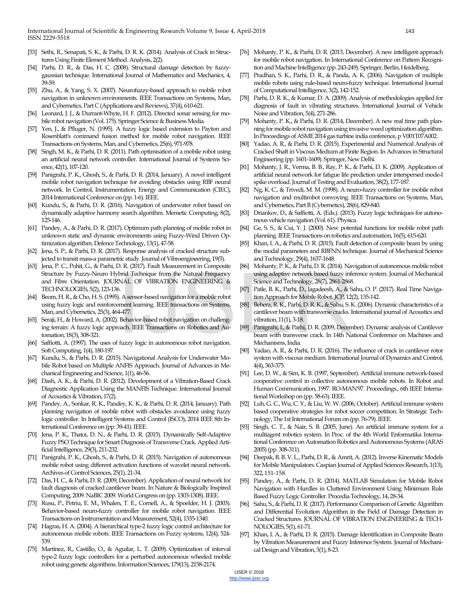- [53] Sethi, R., Senapati, S. K., & Parhi, D. R. K. (2014). Analysis of Crack in Structures Using Finite Element Method. Analysis, 2(2).
- [54] Parhi, D. R., & Das, H. C. (2008). Structural damage detection by fuzzygaussian technique. International Journal of Mathematics and Mechanics, 4, 39-59.
- [55] Zhu, A., & Yang, S. X. (2007). Neurofuzzy-based approach to mobile robot navigation in unknown environments. IEEE Transactions on Systems, Man, and Cybernetics, Part C (Applications and Reviews), 37(4), 610-621.
- [56] Leonard, J. J., & Durrant-Whyte, H. F. (2012). Directed sonar sensing for mobile robot navigation (Vol. 175). Springer Science & Business Media.
- [57] Yen, J., & Pfluger, N. (1995). A fuzzy logic based extension to Payton and Rosenblatt's command fusion method for mobile robot navigation. IEEE Transactions on Systems, Man, and Cybernetics, 25(6), 971-978.
- [58] Singh, M. K., & Parhi, D. R. (2011). Path optimisation of a mobile robot using an artificial neural network controller. International Journal of Systems Science, 42(1), 107-120.
- [59] Panigrahi, P. K., Ghosh, S., & Parhi, D. R. (2014, January). A novel intelligent mobile robot navigation technique for avoiding obstacles using RBF neural network. In Control, Instrumentation, Energy and Communication (CIEC), 2014 International Conference on (pp. 1-6). IEEE.
- [60] Kundu, S., & Parhi, D. R. (2016). Navigation of underwater robot based on dynamically adaptive harmony search algorithm. Memetic Computing, 8(2), 125-146.
- [61] Pandey, A., & Parhi, D. R. (2017). Optimum path planning of mobile robot in unknown static and dynamic environments using Fuzzy-Wind Driven Optimization algorithm. Defence Technology, 13(1), 47-58.
- [62] Jena, S. P., & Parhi, D. R. (2017). Response analysis of cracked structure subjected to transit mass-a parametric study. Journal of Vibroengineering, 19(5).
- [63] Jena, P. C., Pohit, G., & Parhi, D. R. (2017). Fault Measurement in Composite Structure by Fuzzy-Neuro Hybrid Technique from the Natural Frequency and Fibre Orientation. JOURNAL OF VIBRATION ENGINEERING & TECHNOLOGIES, 5(2), 123-136. brid Technique from the Natural Frequency<br>
Science and Technology, 28(7), 2861-2868<br>
5.<br>
(87) Patle, B. K., Parhi, D., Jagadeesh, A., & S<br>
(87) Patle, B. K., Parhi, D., Jagadeesh, A., & S<br>
(87) Patle, B. K., Parhi, D., Jag
- [64] Beom, H. R., & Cho, H. S. (1995). A sensor-based navigation for a mobile robot using fuzzy logic and reinforcement learning. IEEE transactions on Systems, Man, and Cybernetics, 25(3), 464-477.
- [65] Seraji, H., & Howard, A. (2002). Behavior-based robot navigation on challenging terrain: A fuzzy logic approach. IEEE Transactions on Robotics and Automation, 18(3), 308-321.
- [66] Saffiotti, A. (1997). The uses of fuzzy logic in autonomous robot navigation. Soft Computing, 1(4), 180-197.
- [67] Kundu, S., & Parhi, D. R. (2015). Navigational Analysis for Underwater Mobile Robot based on Multiple ANFIS Approach. Journal of Advances in Mechanical Engineering and Science, 1(1), 46-56.
- [68] Dash, A. K., & Parhi, D. R. (2012). Development of a Vibration-Based Crack Diagnostic Application Using the MANFIS Technique. International Journal of Acoustics & Vibration, 17(2).
- [69] Pandey, A., Sonkar, R. K., Pandey, K. K., & Parhi, D. R. (2014, January). Path planning navigation of mobile robot with obstacles avoidance using fuzzy logic controller. In Intelligent Systems and Control (ISCO), 2014 IEEE 8th International Conference on (pp. 39-41). IEEE.
- [70] Jena, P. K., Thatoi, D. N., & Parhi, D. R. (2015). Dynamically Self-Adaptive Fuzzy PSO Technique for Smart Diagnosis of Transverse Crack. Applied Artificial Intelligence, 29(3), 211-232.
- [71] Panigrahi, P. K., Ghosh, S., & Parhi, D. R. (2015). Navigation of autonomous mobile robot using different activation functions of wavelet neural network. Archives of Control Sciences, 25(1), 21-34.
- [72] Das, H. C., & Parhi, D. R. (2009, December). Application of neural network for fault diagnosis of cracked cantilever beam. In Nature & Biologically Inspired Computing, 2009. NaBIC 2009. World Congress on (pp. 1303-1308). IEEE.
- [73] Rusu, P., Petriu, E. M., Whalen, T. E., Cornell, A., & Spoelder, H. J. (2003). Behavior-based neuro-fuzzy controller for mobile robot navigation. IEEE Transactions on Instrumentation and Measurement, 52(4), 1335-1340.
- [74] Hagras, H. A. (2004). A hierarchical type-2 fuzzy logic control architecture for autonomous mobile robots. IEEE Transactions on Fuzzy systems, 12(4), 524- 539.
- [75] Martínez, R., Castillo, O., & Aguilar, L. T. (2009). Optimization of interval type-2 fuzzy logic controllers for a perturbed autonomous wheeled mobile robot using genetic algorithms. Information Sciences, 179(13), 2158-2174.
- [76] Mohanty, P. K., & Parhi, D. R. (2013, December). A new intelligent approach for mobile robot navigation. In International Conference on Pattern Recognition and Machine Intelligence (pp. 243-249). Springer, Berlin, Heidelberg.
- [77] Pradhan, S. K., Parhi, D. R., & Panda, A. K. (2006). Navigation of multiple mobile robots using rule-based neuro-fuzzy technique. International Journal of Computational Intelligence, 3(2), 142-152.
- [78] Parhi, D. R. K., & Kumar, D. A. (2009). Analysis of methodologies applied for diagnosis of fault in vibrating structures. International Journal of Vehicle Noise and Vibration, 5(4), 271-286.
- [79] Mohanty, P. K., & Parhi, D. R. (2014, December). A new real time path planning for mobile robot navigation using invasive weed optimization algorithm. In Proceedings of ASME 2014 gas turbine india conference, p V001T07A002.
- [80] Yadao, A. R., & Parhi, D. R. (2015). Experimental and Numerical Analysis of Cracked Shaft in Viscous Medium at Finite Region. In Advances in Structural Engineering (pp. 1601-1609). Springer, New Delhi.
- [81] Mohanty, J. R., Verma, B. B., Ray, P. K., & Parhi, D. K. (2009). Application of artificial neural network for fatigue life prediction under interspersed mode-I spike overload. Journal of Testing and Evaluation, 38(2), 177-187.
- [82] Ng, K. C., & Trivedi, M. M. (1998). A neuro-fuzzy controller for mobile robot navigation and multirobot convoying. IEEE Transactions on Systems, Man, and Cybernetics, Part B (Cybernetics), 28(6), 829-840.
- [83] Driankov, D., & Saffiotti, A. (Eds.). (2013). Fuzzy logic techniques for autonomous vehicle navigation (Vol. 61). Physica.
- [84] Ge, S. S., & Cui, Y. J. (2000). New potential functions for mobile robot path planning. IEEE Transactions on robotics and automation, 16(5), 615-620.
- [85] Khan, I. A., & Parhi, D. R. (2015). Fault detection of composite beam by using the modal parameters and RBFNN technique. Journal of Mechanical Science and Technology, 29(4), 1637-1648.
- [86] Mohanty, P. K., & Parhi, D. R. (2014). Navigation of autonomous mobile robot using adaptive network based fuzzy inference system. Journal of Mechanical Science and Technology, 28(7), 2861-2868.
- [87] Patle, B. K., Parhi, D., Jagadeesh, A., & Sahu, O. P. (2017). Real Time Navigation Approach for Mobile Robot. JCP, 12(2), 135-142.
- [88] Behera, R. K., Parhi, D. R. K., & Sahu, S. K. (2006). Dynamic characteristics of a cantilever beam with transverse cracks. International journal of Acoustics and vibration, 11(1), 3-18.
- [89] Panigrahi, I., & Parhi, D. R. (2009, December). Dynamic analysis of Cantilever beam with transverse crack. In 14th National Conference on Machines and Mechanisms, India.
- [90] Yadao, A. R., & Parhi, D. R. (2016). The influence of crack in cantilever rotor system with viscous medium. International Journal of Dynamics and Control, 4(4), 363-375.
- [91] Lee, D. W., & Sim, K. B. (1997, September). Artificial immune network-based cooperative control in collective autonomous mobile robots. In Robot and Human Communication, 1997. RO-MAN'97. Proceedings., 6th IEEE International Workshop on (pp. 58-63). IEEE.
- [92] Luh, G. C., Wu, C. Y., & Liu, W. W. (2006, October). Artificial immune system based cooperative strategies for robot soccer competition. In Strategic Technology, The 1st International Forum on (pp. 76-79). IEEE.
- [93] Singh, C. T., & Nair, S. B. (2005, June). An artificial immune system for a multiagent robotics system. In Proc. of the 4th World Enformatika International Conference on Automation Robotics and Autonomous Systems (ARAS 2005) (pp. 308-311).
- [94] Deepak, B. B. V. L., Parhi, D. R., & Amrit, A. (2012). Inverse Kinematic Models for Mobile Manipulators. Caspian Journal of Applied Sciences Research, 1(13), 322, 151-158.
- [95] Pandey, A., & Parhi, D. R. (2014). MATLAB Simulation for Mobile Robot Navigation with Hurdles in Cluttered Environment Using Minimum Rule Based Fuzzy Logic Controller. Procedia Technology, 14, 28-34.
- [96] Sahu, S., & Parhi, D. R. (2017). Performance Comparison of Genetic Algorithm and Differential Evolution Algorithm in the Field of Damage Detection in Cracked Structures. JOURNAL OF VIBRATION ENGINEERING & TECH-NOLOGIES, 5(1), 61-71.
- [97] Khan, I. A., & Parhi, D. R. (2015). Damage Identification in Composite Beam by Vibration Measurement and Fuzzy Inference System. Journal of Mechanical Design and Vibration, 3(1), 8-23.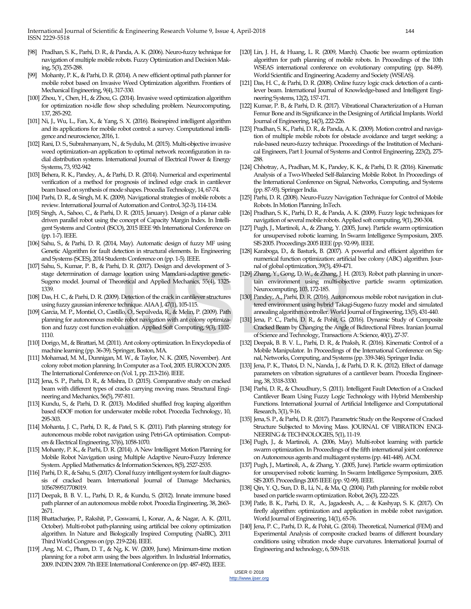- [98] Pradhan, S. K., Parhi, D. R., & Panda, A. K. (2006). Neuro-fuzzy technique for navigation of multiple mobile robots. Fuzzy Optimization and Decision Making, 5(3), 255-288.
- [99] Mohanty, P. K., & Parhi, D. R. (2014). A new efficient optimal path planner for mobile robot based on Invasive Weed Optimization algorithm. Frontiers of Mechanical Engineering, 9(4), 317-330.
- [100] Zhou, Y., Chen, H., & Zhou, G. (2014). Invasive weed optimization algorithm for optimization no-idle flow shop scheduling problem. Neurocomputing, 137, 285-292.
- [101] Ni, J., Wu, L., Fan, X., & Yang, S. X. (2016). Bioinspired intelligent algorithm and its applications for mobile robot control: a survey. Computational intelligence and neuroscience, 2016, 1.
- [102] Rani, D. S., Subrahmanyam, N., & Sydulu, M. (2015). Multi-objective invasive weed optimization–an application to optimal network reconfiguration in radial distribution systems. International Journal of Electrical Power & Energy Systems, 73, 932-942
- [103] Behera, R. K., Pandey, A., & Parhi, D. R. (2014). Numerical and experimental verification of a method for prognosis of inclined edge crack in cantilever beam based on synthesis of mode shapes. Procedia Technology, 14, 67-74.
- [104] Parhi, D. R., & Singh, M. K. (2009). Navigational strategies of mobile robots: a review. International Journal of Automation and Control, 3(2-3), 114-134.
- [105] Singh, A., Sahoo, C., & Parhi, D. R. (2015, January). Design of a planar cable driven parallel robot using the concept of Capacity Margin Index. In Intelligent Systems and Control (ISCO), 2015 IEEE 9th International Conference on (pp. 1-7). IEEE.
- [106] Sahu, S., & Parhi, D. R. (2014, May). Automatic design of fuzzy MF using Genetic Algorithm for fault detection in structural elements. In Engineering and Systems (SCES), 2014 Students Conference on (pp. 1-5). IEEE.
- [107] Sahu, S., Kumar, P. B., & Parhi, D. R. (2017). Design and development of 3 stage determination of damage location using Mamdani-adaptive genetic-Sugeno model. Journal of Theoretical and Applied Mechanics, 55(4), 1325- 1339.
- [108] Das, H. C., & Parhi, D. R. (2009). Detection of the crack in cantilever structures using fuzzy gaussian inference technique. AIAA J, 47(1), 105-115.
- [109] Garcia, M. P., Montiel, O., Castillo, O., Sepúlveda, R., & Melin, P. (2009). Path planning for autonomous mobile robot navigation with ant colony optimization and fuzzy cost function evaluation. Applied Soft Computing, 9(3), 1102- 1110. ve location using Mamdani-adaptive genetic-<br>
(129) Zhang, Y., Gong, D. W., & Zhang, J. H. (
oretical and Applied Mechanics, 55(4), 1325<br>
1303 Lame, Y., Gong, D. W., & Zhang, J. H. (

2016). Autonometics<br>
130) Pandey, A., P
- [110] Dorigo, M., & Birattari, M. (2011). Ant colony optimization. In Encyclopedia of machine learning (pp. 36-39). Springer, Boston, MA.
- [111] Mohamad, M. M., Dunnigan, M. W., & Taylor, N. K. (2005, November). Ant colony robot motion planning. In Computer as a Tool, 2005. EUROCON 2005. The International Conference on (Vol. 1, pp. 213-216). IEEE.
- [112] Jena, S. P., Parhi, D. R., & Mishra, D. (2015). Comparative study on cracked beam with different types of cracks carrying moving mass. Structural Engineering and Mechanics, 56(5), 797-811.
- [113] Kundu, S., & Parhi, D. R. (2013). Modified shuffled frog leaping algorithm based 6DOF motion for underwater mobile robot. Procedia Technology, 10, 295-303.
- [114] Mohanta, J. C., Parhi, D. R., & Patel, S. K. (2011). Path planning strategy for autonomous mobile robot navigation using Petri-GA optimisation. Computers & Electrical Engineering, 37(6), 1058-1070.
- [115] Mohanty, P. K., & Parhi, D. R. (2014). A New Intelligent Motion Planning for Mobile Robot Navigation using Multiple Adaptive Neuro-Fuzzy Inference System. Applied Mathematics & Information Sciences, 8(5), 2527-2535.
- [116] Parhi, D. R., & Sahu, S. (2017). Clonal fuzzy intelligent system for fault diagnosis of cracked beam. International Journal of Damage Mechanics, 1056789517708019.
- [117] Deepak, B. B. V. L., Parhi, D. R., & Kundu, S. (2012). Innate immune based path planner of an autonomous mobile robot. Procedia Engineering, 38, 2663- 2671.
- [118] Bhattacharjee, P., Rakshit, P., Goswami, I., Konar, A., & Nagar, A. K. (2011, October). Multi-robot path-planning using artificial bee colony optimization algorithm. In Nature and Biologically Inspired Computing (NaBIC), 2011 Third World Congress on (pp. 219-224). IEEE.
- [119] .Ang, M. C., Pham, D. T., & Ng, K. W. (2009, June). Minimum-time motion planning for a robot arm using the bees algorithm. In Industrial Informatics, 2009. INDIN 2009. 7th IEEE International Conference on (pp. 487-492). IEEE.
- [120] Lin, J. H., & Huang, L. R. (2009, March). Chaotic bee swarm optimization algorithm for path planning of mobile robots. In Proceedings of the 10th WSEAS international conference on evolutionary computing (pp. 84-89). World Scientific and Engineering Academy and Society (WSEAS).
- [121] Das, H. C., & Parhi, D. R. (2008). Online fuzzy logic crack detection of a cantilever beam. International Journal of Knowledge-based and Intelligent Engineering Systems, 12(2), 157-171.
- [122] Kumar, P. B., & Parhi, D. R. (2017). Vibrational Characterization of a Human Femur Bone and its Significance in the Designing of Artificial Implants. World Journal of Engineering, 14(3), 222-226.
- [123] Pradhan, S. K., Parhi, D. R., & Panda, A. K. (2009). Motion control and navigation of multiple mobile robots for obstacle avoidance and target seeking: a rule-based neuro-fuzzy technique. Proceedings of the Institution of Mechanical Engineers, Part I: Journal of Systems and Control Engineering, 223(2), 275- 288.
- [124] Chhotray, A., Pradhan, M. K., Pandey, K. K., & Parhi, D. R. (2016). Kinematic Analysis of a Two-Wheeled Self-Balancing Mobile Robot. In Proceedings of the International Conference on Signal, Networks, Computing, and Systems (pp. 87-93). Springer India.
- [125] Parhi, D. R. (2008). Neuro-Fuzzy Navigation Technique for Control of Mobile Robots. In Motion Planning. InTech.
- [126] Pradhan, S. K., Parhi, D. R., & Panda, A. K. (2009). Fuzzy logic techniques for navigation of several mobile robots. Applied soft computing, 9(1), 290-304.
- [127] Pugh, J., Martinoli, A., & Zhang, Y. (2005, June). Particle swarm optimization for unsupervised robotic learning. In Swarm Intelligence Symposium, 2005. SIS 2005. Proceedings 2005 IEEE (pp. 92-99). IEEE.
- [128] Karaboga, D., & Basturk, B. (2007). A powerful and efficient algorithm for numerical function optimization: artificial bee colony (ABC) algorithm. Journal of global optimization, 39(3), 459-471.
- [129] Zhang, Y., Gong, D. W., & Zhang, J. H. (2013). Robot path planning in uncertain environment using multi-objective particle swarm optimization. Neurocomputing, 103, 172-185.
- [130] Pandey, A., Parhi, D. R. (2016). Autonomous mobile robot navigation in cluttered environment using hybrid Takagi-Sugeno fuzzy model and simulated annealing algorithm controller. World Journal of Engineering, 13(5), 431-440.
- [131] Jena, P. C., Parhi, D. R., & Pohit, G. (2016). Dynamic Study of Composite Cracked Beam by Changing the Angle of Bidirectional Fibres. Iranian Journal of Science and Technology, Transactions A: Science, 40(1), 27-37.
- [132] Deepak, B. B. V. L., Parhi, D. R., & Praksh, R. (2016). Kinematic Control of a Mobile Manipulator. In Proceedings of the International Conference on Signal, Networks, Computing, and Systems (pp. 339-346). Springer India.
- [133] Jena, P. K., Thatoi, D. N., Nanda, J., & Parhi, D. R. K. (2012). Effect of damage parameters on vibration signatures of a cantilever beam. Procedia Engineering, 38, 3318-3330.
- [134] Parhi, D. R., & Choudhury, S. (2011). Intelligent Fault Detection of a Cracked Cantilever Beam Using Fuzzy Logic Technology with Hybrid Membership Functions. International Journal of Artificial Intelligence and Computational Research, 3(1), 9-16.
- [135] Jena, S. P., & Parhi, D. R. (2017). Parametric Study on the Response of Cracked Structure Subjected to Moving Mass. JOURNAL OF VIBRATION ENGI-NEERING & TECHNOLOGIES, 5(1), 11-19.
- [136] Pugh, J., & Martinoli, A. (2006, May). Multi-robot learning with particle swarm optimization. In Proceedings of the fifth international joint conference on Autonomous agents and multiagent systems (pp. 441-448). ACM.
- [137] Pugh, J., Martinoli, A., & Zhang, Y. (2005, June). Particle swarm optimization for unsupervised robotic learning. In Swarm Intelligence Symposium, 2005. SIS 2005. Proceedings 2005 IEEE (pp. 92-99). IEEE.
- [138] Qin, Y. Q., Sun, D. B., Li, N., & Ma, Q. (2004). Path planning for mobile robot based on particle swarm optimization. Robot, 26(3), 222-225.
- [139] Patle, B. K., Parhi, D. R., A., Jagadeesh, A., ... & Kashyap, S. K. (2017). On firefly algorithm: optimization and application in mobile robot navigation. World Journal of Engineering, 14(1), 65-76.
- [140] Jena, P. C., Parhi, D. R., & Pohit, G. (2014). Theoretical, Numerical (FEM) and Experimental Analysis of composite cracked beams of different boundary conditions using vibration mode shape curvatures. International Journal of Engineering and technology, 6, 509-518.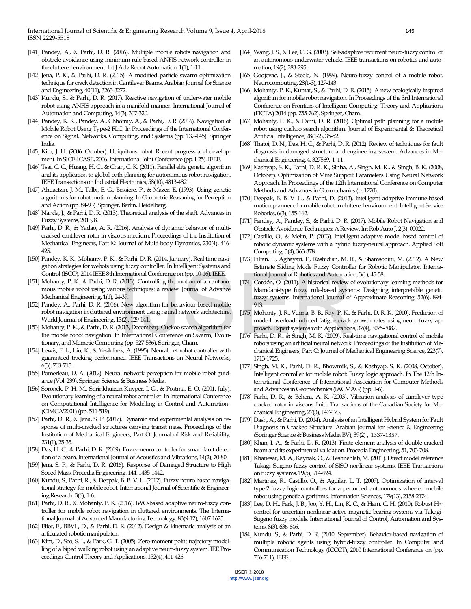International Journal of Scientific & Engineering Research Volume 9, Issue 4, April-2018 145 ISSN 2229-5518

- [141] Pandey, A., & Parhi, D. R. (2016). Multiple mobile robots navigation and obstacle avoidance using minimum rule based ANFIS network controller in the cluttered environment. Int J Adv Robot Automation, 1(1), 1-11.
- [142] Jena, P. K., & Parhi, D. R. (2015). A modified particle swarm optimization technique for crack detection in Cantilever Beams. Arabian Journal for Science and Engineering, 40(11), 3263-3272.
- [143] Kundu, S., & Parhi, D. R. (2017). Reactive navigation of underwater mobile robot using ANFIS approach in a manifold manner. International Journal of Automation and Computing, 14(3), 307-320.
- [144] Pandey, K. K., Pandey, A., Chhotray, A., & Parhi, D. R. (2016). Navigation of Mobile Robot Using Type-2 FLC. In Proceedings of the International Conference on Signal, Networks, Computing, and Systems (pp. 137-145). Springer India.
- [145] Kim, J. H. (2006, October). Ubiquitous robot: Recent progress and development. In SICE-ICASE, 2006. International Joint Conference (pp. I-25). IEEE.
- [146] Tsai, C. C., Huang, H. C., & Chan, C. K. (2011). Parallel elite genetic algorithm and its application to global path planning for autonomous robot navigation. IEEE Transactions on Industrial Electronics, 58(10), 4813-4821.
- [147] Ahuactzin, J. M., Talbi, E. G., Bessiere, P., & Mazer, E. (1993). Using genetic algorithms for robot motion planning. In Geometric Reasoning for Perception and Action (pp. 84-93). Springer, Berlin, Heidelberg.
- [148] Nanda, J., & Parhi, D. R. (2013). Theoretical analysis of the shaft. Advances in Fuzzy Systems, 2013, 8.
- [149] Parhi, D. R., & Yadao, A. R. (2016). Analysis of dynamic behavior of multicracked cantilever rotor in viscous medium. Proceedings of the Institution of Mechanical Engineers, Part K: Journal of Multi-body Dynamics, 230(4), 416- 425.
- [150] Pandey, K. K., Mohanty, P. K., & Parhi, D. R. (2014, January). Real time navigation strategies for webots using fuzzy controller. In Intelligent Systems and Control (ISCO), 2014 IEEE 8th International Conference on (pp. 10-16). IEEE.
- [151] Mohanty, P. K., & Parhi, D. R. (2013). Controlling the motion of an autonomous mobile robot using various techniques: a review. Journal of Advance Mechanical Engineering, 1(1), 24-39.
- [152] Pandey, A., Parhi, D. R. (2016). New algorithm for behaviour-based mobile robot navigation in cluttered environment using neural network architecture. World Journal of Engineering, 13(2), 129-141.
- [153] Mohanty, P. K., & Parhi, D. R. (2013, December). Cuckoo search algorithm for the mobile robot navigation. In International Conference on Swarm, Evolutionary, and Memetic Computing (pp. 527-536). Springer, Cham.
- [154] Lewis, F. L., Liu, K., & Yesildirek, A. (1995). Neural net robot controller with guaranteed tracking performance. IEEE Transactions on Neural Networks, 6(3), 703-715.
- [155] Pomerleau, D. A. (2012). Neural network perception for mobile robot guidance (Vol. 239). Springer Science & Business Media.
- [156] Spronck, P. H. M., Sprinkhuizen-Kuyper, I. G., & Postma, E. O. (2001, July). Evolutionary learning of a neural robot controller. In International Conference on Computational Intelligence for Modelling in Control and Automation– (CIMCA'2001) (pp. 511-519).
- [157] Parhi, D. R., & Jena, S. P. (2017). Dynamic and experimental analysis on response of multi-cracked structures carrying transit mass. Proceedings of the Institution of Mechanical Engineers, Part O: Journal of Risk and Reliability, 231(1), 25-35.
- [158] Das, H. C., & Parhi, D. R. (2009). Fuzzy-neuro controler for smart fault detection of a beam. International Journal of Acoustics and Vibrations, 14(2), 70-80.
- [159] Jena, S. P., & Parhi, D. R. (2016). Response of Damaged Structure to High Speed Mass. Procedia Engineering, 144, 1435-1442.
- [160] Kundu, S., Parhi, R., & Deepak, B. B. V. L. (2012). Fuzzy-neuro based navigational strategy for mobile robot. International Journal of Scientific & Engineering Research, 3(6), 1-6.
- [161] Parhi, D. R., & Mohanty, P. K. (2016). IWO-based adaptive neuro-fuzzy controller for mobile robot navigation in cluttered environments. The International Journal of Advanced Manufacturing Technology, 83(9-12), 1607-1625.
- [162] Eliot, E., BBVL, D., & Parhi, D. R. (2012). Design & kinematic analysis of an articulated robotic manipulator.
- [163] Kim, D., Seo, S. J., & Park, G. T. (2005). Zero-moment point trajectory modelling of a biped walking robot using an adaptive neuro-fuzzy system. IEE Proceedings-Control Theory and Applications, 152(4), 411-426.
- [164] Wang, J. S., & Lee, C. G. (2003). Self-adaptive recurrent neuro-fuzzy control of an autonomous underwater vehicle. IEEE transactions on robotics and automation, 19(2), 283-295.
- [165] Godjevac, J., & Steele, N. (1999). Neuro-fuzzy control of a mobile robot. Neurocomputing, 28(1-3), 127-143.
- [166] Mohanty, P. K., Kumar, S., & Parhi, D. R. (2015). A new ecologically inspired algorithm for mobile robot navigation.In Proceedings of the 3rd International Conference on Frontiers of Intelligent Computing: Theory and Applications (FICTA) 2014 (pp. 755-762). Springer, Cham.
- [167] Mohanty, P. K., & Parhi, D. R. (2016). Optimal path planning for a mobile robot using cuckoo search algorithm. Journal of Experimental & Theoretical Artificial Intelligence, 28(1-2), 35-52.
- [168] Thatoi, D. N., Das, H. C., & Parhi, D. R. (2012). Review of techniques for fault diagnosis in damaged structure and engineering system. Advances in Mechanical Engineering, 4, 327569, 1-11.
- [169] Kashyap, S. K., Parhi, D. R. K., Sinha, A., Singh, M. K., & Singh, B. K. (2008, October). Optimization of Mine Support Parameters Using Neural Network Approach. In Proceedings of the 12th International Conference on Computer Methods and Advances in Geomechanics (p. 1770).
- [170] Deepak, B. B. V. L., & Parhi, D. (2013). Intelligent adaptive immune-based motion planner of a mobile robot in cluttered environment. Intelligent Service Robotics, 6(3), 155-162.
- [171] Pandey, A., Pandey, S., & Parhi, D. R. (2017). Mobile Robot Navigation and Obstacle Avoidance Techniques: A Review. Int Rob Auto J, 2(3), 00022.
- [172] Castillo, O., & Melin, P. (2003). Intelligent adaptive model-based control of robotic dynamic systems with a hybrid fuzzy-neural approach. Applied Soft Computing, 3(4), 363-378.
- [173] Piltan, F., Aghayari, F., Rashidian, M. R., & Shamsodini, M. (2012). A New Estimate Sliding Mode Fuzzy Controller for Robotic Manipulator. International Journal of Robotics and Automation, 3(1), 45-58.
- [174] Cordón, O. (2011). A historical review of evolutionary learning methods for Mamdani-type fuzzy rule-based systems: Designing interpretable genetic fuzzy systems. International Journal of Approximate Reasoning, 52(6), 894- 913. nternational Conference on (pp. 10-16). IEEE.<br>
(2013). Controlling the motion of an autono-<br>
174] Cordón, O. (2011). A historical review of use techniques: a review. Journal of Advance<br>
4-39.<br>
1. New algorithm for behaviou
	- [175] Mohanty, J. R., Verma, B. B., Ray, P. K., & Parhi, D. R. K. (2010). Prediction of mode-I overload-induced fatigue crack growth rates using neuro-fuzzy approach. Expert systems with Applications, 37(4), 3075-3087.
	- [176] Parhi, D. R., & Singh, M. K. (2009). Real-time navigational control of mobile robots using an artificial neural network. Proceedings of the Institution of Mechanical Engineers, Part C: Journal of Mechanical Engineering Science, 223(7), 1713-1725.
	- [177] Singh, M. K., Parhi, D. R., Bhowmik, S., & Kashyap, S. K. (2008, October). Intelligent controller for mobile robot: Fuzzy logic approach. In The 12th International Conference of International Association for Computer Methods and Advances in Geomechanics (IACMAG) (pp. 1-6).
	- [178] Parhi, D. R., & Behera, A. K. (2003). Vibration analysis of cantilever type cracked rotor in viscous fluid. Transactions of the Canadian Society for Mechanical Engineering, 27(3), 147-173.
	- [179] Dash, A., & Parhi, D. (2014). Analysis of an Intelligent Hybrid System for Fault Diagnosis in Cracked Structure. Arabian Journal for Science & Engineering (Springer Science & Business Media BV), 39(2) , 1337-1357.
	- [180] Khan, I. A., & Parhi, D. R. (2013). Finite element analysis of double cracked beam and its experimental validation. Procedia Engineering, 51, 703-708.
	- [181] Khanesar, M. A., Kaynak, O., & Teshnehlab, M. (2011). Direct model reference Takagi–Sugeno fuzzy control of SISO nonlinear systems. IEEE Transactions on fuzzy systems, 19(5), 914-924.
	- [182] Martínez, R., Castillo, O., & Aguilar, L. T. (2009). Optimization of interval type-2 fuzzy logic controllers for a perturbed autonomous wheeled mobile robot using genetic algorithms. Information Sciences, 179(13), 2158-2174.
	- [183] Lee, D. H., Park, J. B., Joo, Y. H., Lin, K. C., & Ham, C. H. (2010). Robust H∞ control for uncertain nonlinear active magnetic bearing systems via Takagi-Sugeno fuzzy models. International Journal of Control, Automation and Systems, 8(3), 636-646.
	- [184] Kundu, S., & Parhi, D. R. (2010, September). Behavior-based navigation of multiple robotic agents using hybrid-fuzzy controller. In Computer and Communication Technology (ICCCT), 2010 International Conference on (pp. 706-711). IEEE.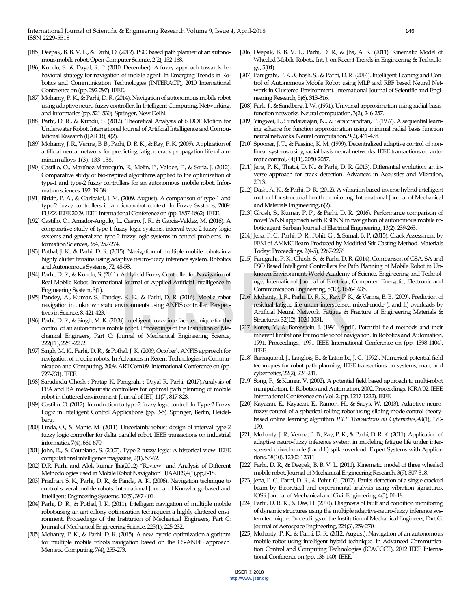International Journal of Scientific & Engineering Research Volume 9, Issue 4, April-2018 146 ISSN 2229-5518

- [185] Deepak, B. B. V. L., & Parhi, D. (2012). PSO based path planner of an autonomous mobile robot. Open Computer Science, 2(2), 152-168.
- [186] Kundu, S., & Dayal, R. P. (2010, December). A fuzzy approach towards behavioral strategy for navigation of mobile agent. In Emerging Trends in Robotics and Communication Technologies (INTERACT), 2010 International Conference on (pp. 292-297). IEEE.
- [187] Mohanty, P. K., & Parhi, D. R. (2014). Navigation of autonomous mobile robot using adaptive neuro-fuzzy controller. In Intelligent Computing, Networking, and Informatics (pp. 521-530). Springer, New Delhi.
- [188] Parhi, D. R., & Kundu, S. (2012). Theoretical Analysis of 6 DOF Motion for Underwater Robot. International Journal of Artificial Intelligence and Computational Research (IJAICR), 4(2).
- [189] Mohanty, J. R., Verma, B. B., Parhi, D. R. K., & Ray, P. K. (2009). Application of artificial neural network for predicting fatigue crack propagation life of aluminum alloys, 1(3), 133-138.
- [190] Castillo, O., Martínez-Marroquín, R., Melin, P., Valdez, F., & Soria, J. (2012). Comparative study of bio-inspired algorithms applied to the optimization of type-1 and type-2 fuzzy controllers for an autonomous mobile robot. Information sciences, 192, 19-38.
- [191] Birkin, P. A., & Garibaldi, J. M. (2009, August). A comparison of type-1 and type-2 fuzzy controllers in a micro-robot context. In Fuzzy Systems, 2009. FUZZ-IEEE 2009. IEEE International Conference on (pp. 1857-1862). IEEE.
- [192] Castillo, O., Amador-Angulo, L., Castro, J. R., & Garcia-Valdez, M. (2016). A comparative study of type-1 fuzzy logic systems, interval type-2 fuzzy logic systems and generalized type-2 fuzzy logic systems in control problems. Information Sciences, 354, 257-274.
- [193] Pothal, J. K., & Parhi, D. R. (2015). Navigation of multiple mobile robots in a highly clutter terrains using adaptive neuro-fuzzy inference system. Robotics and Autonomous Systems, 72, 48-58.
- [194] Parhi, D. R., & Kundu, S. (2011). A Hybrid Fuzzy Controller for Navigation of Real Mobile Robot. International Journal of Applied Artificial Intelligence in Engineering System, 3(1).
- [195] Pandey, A., Kumar, S., Pandey, K. K., & Parhi, D. R. (2016). Mobile robot navigation in unknown static environments using ANFIS controller. Perspectives in Science, 8, 421-423.
- [196] Parhi, D. R., & Singh, M. K. (2008). Intelligent fuzzy interface technique for the control of an autonomous mobile robot. Proceedings of the Institution of Mechanical Engineers, Part C: Journal of Mechanical Engineering Science, 222(11), 2281-2292. A Hybrid Fuzzy Controller for Navigation of known Environment. World Academy of<br>
al Journal of Applied Artificial Intelligence in ogy, International Journal of Electrical, Communication Engineering, 8(10), 1626<br>
y, K. K.,
- [197] Singh, M. K., Parhi, D. R., & Pothal, J. K. (2009, October). ANFIS approach for navigation of mobile robots. In Advances in Recent Technologies in Communication and Computing, 2009. ARTCom'09. International Conference on (pp. 727-731). IEEE.
- [198] Saradindu Ghosh ; Pratap K. Panigrahi ; Dayal R. Parhi, (2017).Analysis of FPA and BA meta-heuristic controllers for optimal path planning of mobile robot in cluttered environment. Journal of IET, 11(7), 817-828.
- [199] Castillo, O. (2012). Introduction to type-2 fuzzy logic control. In Type-2 Fuzzy Logic in Intelligent Control Applications (pp. 3-5). Springer, Berlin, Heidelberg.
- [200] Linda, O., & Manic, M. (2011). Uncertainty-robust design of interval type-2 fuzzy logic controller for delta parallel robot. IEEE transactions on industrial informatics, 7(4), 661-670.
- [201] John, R., & Coupland, S. (2007). Type-2 fuzzy logic: A historical view. IEEE computational intelligence magazine, 2(1), 57-62.
- [202] D.R. Parhi and Alok kumar Jha(2012) "Review and Analysis of Different Methodologies used in Mobile Robot Navigation" IJAAIES,4(1),pp,1-18.
- [203] Pradhan, S. K., Parhi, D. R., & Panda, A. K. (2006). Navigation technique to control several mobile robots. International Journal of Knowledge-based and Intelligent Engineering Systems, 10(5), 387-401.
- [204] Parhi, D. R., & Pothal, J. K. (2011). Intelligent navigation of multiple mobile robotsusing an ant colony optimization techniquein a highly cluttered environment. Proceedings of the Institution of Mechanical Engineers, Part C: Journal of Mechanical Engineering Science, 225(1), 225-232.
- [205] Mohanty, P. K., & Parhi, D. R. (2015). A new hybrid optimization algorithm for multiple mobile robots navigation based on the CS-ANFIS approach. Memetic Computing, 7(4), 255-273.
- [206] Deepak, B. B. V. L., Parhi, D. R., & Jha, A. K. (2011). Kinematic Model of Wheeled Mobile Robots. Int. J. on Recent Trends in Engineering & Technology, 5(04).
- [207] Panigrahi, P. K., Ghosh, S., & Parhi, D. R. (2014). Intelligent Leaning and Control of Autonomous Mobile Robot using MLP and RBF based Neural Network in Clustered Environment. International Journal of Scientific and Engineering Research, 5(6), 313-316.
- [208] Park, J., & Sandberg, I. W. (1991). Universal approximation using radial-basisfunction networks. Neural computation, 3(2), 246-257.
- [209] Yingwei, L., Sundararajan, N., & Saratchandran, P. (1997). A sequential learning scheme for function approximation using minimal radial basis function neural networks. Neural computation, 9(2), 461-478.
- [210] Spooner, J. T., & Passino, K. M. (1999). Decentralized adaptive control of nonlinear systems using radial basis neural networks. IEEE transactions on automatic control, 44(11), 2050-2057.
- [211] Jena, P. K., Thatoi, D. N., & Parhi, D. R. (2013). Differential evolution: an inverse approach for crack detection. Advances in Acoustics and Vibration, 2013.
- [212] Dash, A. K., & Parhi, D. R. (2012). A vibration based inverse hybrid intelligent method for structural health monitoring. International Journal of Mechanical and Materials Engineering, 6(2).
- [213] Ghosh, S., Kumar, P. P., & Parhi, D. R. (2016). Performance comparison of novel WNN approach with RBFNN in navigation of autonomous mobile robotic agent. Serbian Journal of Electrical Engineering, 13(2), 239-263.
- [214] Jena, P. C., Parhi, D. R., Pohit, G., & Samal, B. P. (2015). Crack Assessment by FEM of AMMC Beam Produced by Modified Stir Casting Method. Materials Today: Proceedings, 2(4-5), 2267-2276.
- [215] Panigrahi, P. K., Ghosh, S., & Parhi, D. R. (2014). Comparison of GSA, SA and PSO Based Intelligent Controllers for Path Planning of Mobile Robot in Unknown Environment. World Academy of Science, Engineering and Technology, International Journal of Electrical, Computer, Energetic, Electronic and Communication Engineering, 8(10), 1626-1635.
- [216] Mohanty, J. R., Parhi, D. R. K., Ray, P. K., & Verma, B. B. (2009). Prediction of residual fatigue life under interspersed mixed‐mode (I and II) overloads by Artificial Neural Network. Fatigue & Fracture of Engineering Materials & Structures, 32(12), 1020-1031.
- [217] Koren, Y., & Borenstein, J. (1991, April). Potential field methods and their inherent limitations for mobile robot navigation. In Robotics and Automation, 1991. Proceedings., 1991 IEEE International Conference on (pp. 1398-1404). IEEE.
- [218] Barraquand, J., Langlois, B., & Latombe, J. C. (1992). Numerical potential field techniques for robot path planning. IEEE transactions on systems, man, and cybernetics, 22(2), 224-241.
- [219] Song, P., & Kumar, V. (2002). A potential field based approach to multi-robot manipulation. In Robotics and Automation, 2002. Proceedings. ICRA'02. IEEE International Conference on (Vol. 2, pp. 1217-1222). IEEE.
- [220] Kayacan, E., Kayacan, E., Ramon, H., & Saeys, W. (2013). Adaptive neurofuzzy control of a spherical rolling robot using sliding-mode-control-theorybased online learning algorithm.*IEEE Transactions on Cybernetics*, *43*(1), 170- 179.
- [221] Mohanty, J. R., Verma, B. B., Ray, P. K., & Parhi, D. R. K. (2011). Application of adaptive neuro-fuzzy inference system in modeling fatigue life under interspersed mixed-mode (I and II) spike overload. Expert Systems with Applications, 38(10), 12302-12311.
- [222] Parhi, D. R., & Deepak, B. B. V. L. (2011). Kinematic model of three wheeled mobile robot. Journal of Mechanical Engineering Research, 3(9), 307-318.
- [223] Jena, P. C., Parhi, D. R., & Pohit, G. (2012). Faults detection of a single cracked beam by theoretical and experimental analysis using vibration signatures. IOSR Journal of Mechanical and Civil Engineering, 4(3), 01-18.
- [224] Parhi, D. R. K., & Das, H. (2010). Diagnosis of fault and condition monitoring of dynamic structures using the multiple adaptive-neuro-fuzzy inference system technique. Proceedings of the Institution of Mechanical Engineers, Part G: Journal of Aerospace Engineering, 224(3), 259-270.
- [225] Mohanty, P. K., & Parhi, D. R. (2012, August). Navigation of an autonomous mobile robot using intelligent hybrid technique. In Advanced Communication Control and Computing Technologies (ICACCCT), 2012 IEEE International Conference on (pp. 136-140). IEEE.